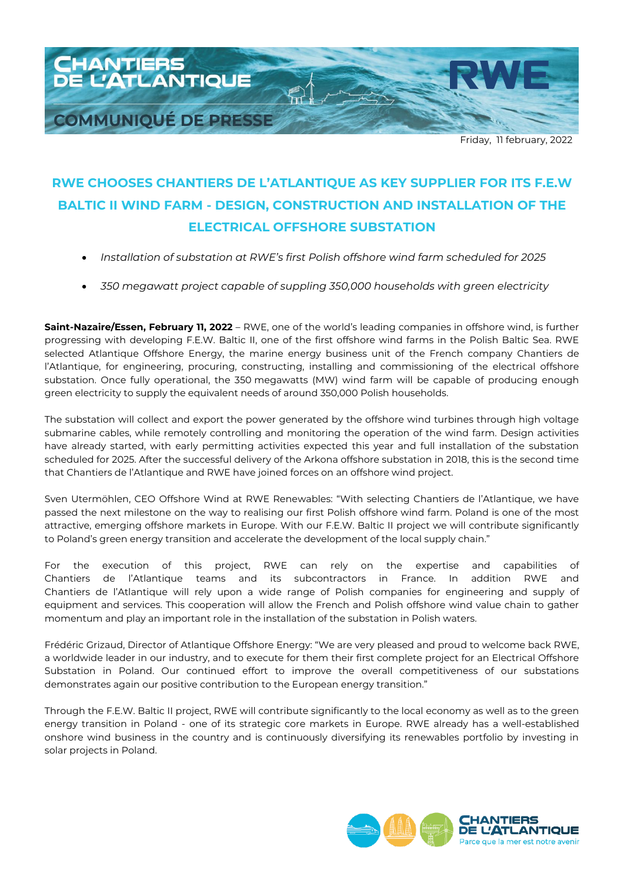

## **RWE CHOOSES CHANTIERS DE L'ATLANTIQUE AS KEY SUPPLIER FOR ITS F.E.W BALTIC II WIND FARM - DESIGN, CONSTRUCTION AND INSTALLATION OF THE ELECTRICAL OFFSHORE SUBSTATION**

- *Installation of substation at RWE's first Polish offshore wind farm scheduled for 2025*
- *350 megawatt project capable of suppling 350,000 households with green electricity*

**Saint-Nazaire/Essen, February 11, 2022** – RWE, one of the world's leading companies in offshore wind, is further progressing with developing F.E.W. Baltic II, one of the first offshore wind farms in the Polish Baltic Sea. RWE selected Atlantique Offshore Energy, the marine energy business unit of the French company Chantiers de l'Atlantique, for engineering, procuring, constructing, installing and commissioning of the electrical offshore substation. Once fully operational, the 350 megawatts (MW) wind farm will be capable of producing enough green electricity to supply the equivalent needs of around 350,000 Polish households.

The substation will collect and export the power generated by the offshore wind turbines through high voltage submarine cables, while remotely controlling and monitoring the operation of the wind farm. Design activities have already started, with early permitting activities expected this year and full installation of the substation scheduled for 2025. After the successful delivery of the Arkona offshore substation in 2018, this is the second time that Chantiers de l'Atlantique and RWE have joined forces on an offshore wind project.

Sven Utermöhlen, CEO Offshore Wind at RWE Renewables: "With selecting Chantiers de l'Atlantique, we have passed the next milestone on the way to realising our first Polish offshore wind farm. Poland is one of the most attractive, emerging offshore markets in Europe. With our F.E.W. Baltic II project we will contribute significantly to Poland's green energy transition and accelerate the development of the local supply chain."

For the execution of this project, RWE can rely on the expertise and capabilities of Chantiers de l'Atlantique teams and its subcontractors in France. In addition RWE and Chantiers de l'Atlantique will rely upon a wide range of Polish companies for engineering and supply of equipment and services. This cooperation will allow the French and Polish offshore wind value chain to gather momentum and play an important role in the installation of the substation in Polish waters.

Frédéric Grizaud, Director of Atlantique Offshore Energy: "We are very pleased and proud to welcome back RWE, a worldwide leader in our industry, and to execute for them their first complete project for an Electrical Offshore Substation in Poland. Our continued effort to improve the overall competitiveness of our substations demonstrates again our positive contribution to the European energy transition."

Through the F.E.W. Baltic II project, RWE will contribute significantly to the local economy as well as to the green energy transition in Poland - one of its strategic core markets in Europe. RWE already has a well-established onshore wind business in the country and is continuously diversifying its renewables portfolio by investing in solar projects in Poland.